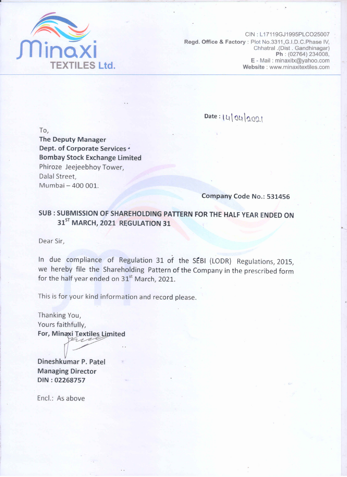

CIN: L17119GJ1995PLCO25007 Regd. Office & Factory: Plot No.3311, G.I.D.C. Phase IV, Chhatral .(Dist . Gandhinagar) Ph: (02764) 234008, E - Mail: minaxitx@yahoo.com Website: www.minaxitextiles.com

Date: 14/04/2021

To, **The Deputy Manager** Dept. of Corporate Services \* **Bombay Stock Exchange Limited** Phiroze Jeejeebhoy Tower, Dalal Street. Mumbai - 400 001.

Company Code No.: 531456

SUB: SUBMISSION OF SHAREHOLDING PATTERN FOR THE HALF YEAR ENDED ON 31<sup>ST</sup> MARCH, 2021 REGULATION 31

Dear Sir,

In due compliance of Regulation 31 of the SEBI (LODR) Regulations, 2015, we hereby file the Shareholding Pattern of the Company in the prescribed form for the half year ended on 31<sup>st</sup> March, 2021.

This is for your kind information and record please.

Thanking You, Yours faithfully, For, Minaxi Textiles Limited

Dineshkumar P. Patel **Managing Director** DIN: 02268757

Encl.: As above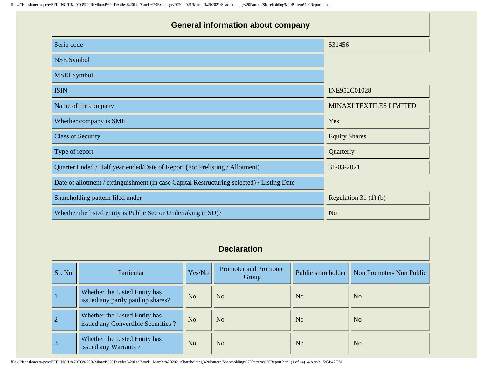| <b>General information about company</b>                                                   |                                |  |  |  |  |  |  |
|--------------------------------------------------------------------------------------------|--------------------------------|--|--|--|--|--|--|
| Scrip code                                                                                 | 531456                         |  |  |  |  |  |  |
| <b>NSE Symbol</b>                                                                          |                                |  |  |  |  |  |  |
| <b>MSEI</b> Symbol                                                                         |                                |  |  |  |  |  |  |
| <b>ISIN</b>                                                                                | INE952C01028                   |  |  |  |  |  |  |
| Name of the company                                                                        | <b>MINAXI TEXTILES LIMITED</b> |  |  |  |  |  |  |
| Whether company is SME                                                                     | Yes                            |  |  |  |  |  |  |
| <b>Class of Security</b>                                                                   | <b>Equity Shares</b>           |  |  |  |  |  |  |
| Type of report                                                                             | Quarterly                      |  |  |  |  |  |  |
| Quarter Ended / Half year ended/Date of Report (For Prelisting / Allotment)                | 31-03-2021                     |  |  |  |  |  |  |
| Date of allotment / extinguishment (in case Capital Restructuring selected) / Listing Date |                                |  |  |  |  |  |  |
| Shareholding pattern filed under                                                           | Regulation $31(1)(b)$          |  |  |  |  |  |  |
| Whether the listed entity is Public Sector Undertaking (PSU)?                              | N <sub>0</sub>                 |  |  |  |  |  |  |

## **Declaration**

| Sr. No.        | Particular                                                          | Yes/No         | <b>Promoter and Promoter</b><br>Group | Public shareholder | Non Promoter- Non Public |
|----------------|---------------------------------------------------------------------|----------------|---------------------------------------|--------------------|--------------------------|
|                | Whether the Listed Entity has<br>issued any partly paid up shares?  | N <sub>o</sub> | N <sub>o</sub>                        | No                 | N <sub>o</sub>           |
| $\overline{2}$ | Whether the Listed Entity has<br>issued any Convertible Securities? | N <sub>o</sub> | N <sub>o</sub>                        | No                 | N <sub>o</sub>           |
| $\overline{3}$ | Whether the Listed Entity has<br>issued any Warrants?               | N <sub>o</sub> | N <sub>o</sub>                        | No                 | N <sub>o</sub>           |

file:////Kaashmeera-pc/e/EFILING/L%20TO%20R/Minaxi%20Textiles%20Ltd/Stock...March,%202021/Shareholding%20Pattern/Shareholding%20Pattern%20Report.html (1 of 14)14-Apr-21 5:04:42 PM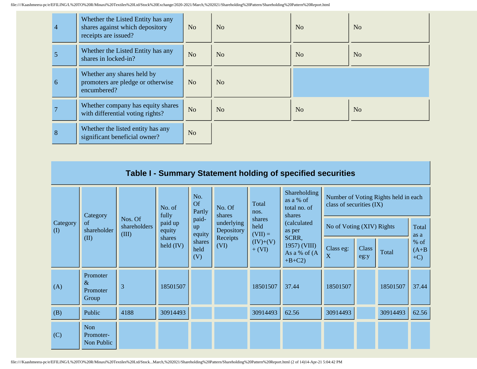| $\overline{4}$ | Whether the Listed Entity has any<br>shares against which depository<br>receipts are issued? | N <sub>o</sub> | N <sub>o</sub> | N <sub>o</sub> | N <sub>o</sub> |
|----------------|----------------------------------------------------------------------------------------------|----------------|----------------|----------------|----------------|
|                | Whether the Listed Entity has any<br>shares in locked-in?                                    | N <sub>o</sub> | N <sub>o</sub> | N <sub>o</sub> | N <sub>o</sub> |
| 6              | Whether any shares held by<br>promoters are pledge or otherwise<br>encumbered?               | N <sub>o</sub> | N <sub>o</sub> |                |                |
|                | Whether company has equity shares<br>with differential voting rights?                        | N <sub>o</sub> | N <sub>o</sub> | N <sub>o</sub> | N <sub>o</sub> |
| 8              | Whether the listed entity has any<br>significant beneficial owner?                           | N <sub>o</sub> |                |                |                |

|                 | Table I - Summary Statement holding of specified securities |                                  |                       |                                                                                                                 |                  |                        |                                                     |                                                                  |                      |          |                             |
|-----------------|-------------------------------------------------------------|----------------------------------|-----------------------|-----------------------------------------------------------------------------------------------------------------|------------------|------------------------|-----------------------------------------------------|------------------------------------------------------------------|----------------------|----------|-----------------------------|
|                 | Category                                                    |                                  | No. of<br>fully       | No.<br>Of<br>Partly                                                                                             | No. Of<br>shares | Total<br>nos.          | Shareholding<br>as a % of<br>total no. of<br>shares | Number of Voting Rights held in each<br>class of securities (IX) |                      |          |                             |
| Category<br>(I) | of<br>shareholder                                           | Nos. Of<br>shareholders<br>(III) | paid up<br>equity     | paid-<br>shares<br>underlying<br>held<br>up<br>Depository<br>as per<br>equity<br>$(VII) =$<br>SCRR,<br>Receipts |                  | (calculated            |                                                     | No of Voting (XIV) Rights                                        |                      |          | Total<br>as a               |
|                 | (II)                                                        |                                  | shares<br>held $(IV)$ | shares<br>held<br>(V)                                                                                           | (VI)             | $(IV)+(V)$<br>$+ (VI)$ | 1957) (VIII)<br>As a % of (A<br>$+B+C2$             | Class eg:<br>X                                                   | <b>Class</b><br>eg:y | Total    | $%$ of<br>$(A+B)$<br>$+C$ ) |
| (A)             | Promoter<br>$\&$<br>Promoter<br>Group                       | 3                                | 18501507              |                                                                                                                 |                  | 18501507               | 37.44                                               | 18501507                                                         |                      | 18501507 | 37.44                       |
| (B)             | Public                                                      | 4188                             | 30914493              |                                                                                                                 |                  | 30914493               | 62.56                                               | 30914493                                                         |                      | 30914493 | 62.56                       |
| (C)             | <b>Non</b><br>Promoter-<br>Non Public                       |                                  |                       |                                                                                                                 |                  |                        |                                                     |                                                                  |                      |          |                             |

file:////Kaashmeera-pc/e/EFILING/L%20TO%20R/Minaxi%20Textiles%20Ltd/Stock...March,%202021/Shareholding%20Pattern/Shareholding%20Pattern%20Report.html (2 of 14)14-Apr-21 5:04:42 PM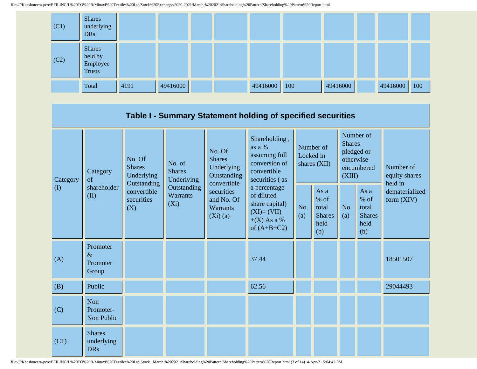

|                 |                                           |                                                                                          |                                                                             |                                                                                                                                  | Table I - Summary Statement holding of specified securities                                    |                                        |                                                         |                                                                               |                                                       |                                       |  |
|-----------------|-------------------------------------------|------------------------------------------------------------------------------------------|-----------------------------------------------------------------------------|----------------------------------------------------------------------------------------------------------------------------------|------------------------------------------------------------------------------------------------|----------------------------------------|---------------------------------------------------------|-------------------------------------------------------------------------------|-------------------------------------------------------|---------------------------------------|--|
| Category<br>(I) | Category<br>of<br>shareholder<br>(II)     | No. Of<br><b>Shares</b><br>Underlying<br>Outstanding<br>convertible<br>securities<br>(X) | No. of<br><b>Shares</b><br>Underlying<br>Outstanding<br>Warrants<br>$(X_i)$ | No. Of<br><b>Shares</b><br>Underlying<br>Outstanding<br>convertible<br>securities<br>and No. Of<br><b>Warrants</b><br>$(Xi)$ (a) | Shareholding,<br>as a %<br>assuming full<br>conversion of<br>convertible<br>securities (as     | Number of<br>Locked in<br>shares (XII) |                                                         | Number of<br><b>Shares</b><br>pledged or<br>otherwise<br>encumbered<br>(XIII) |                                                       | Number of<br>equity shares<br>held in |  |
|                 |                                           |                                                                                          |                                                                             |                                                                                                                                  | a percentage<br>of diluted<br>share capital)<br>$(XI)=(VII)$<br>$+(X)$ As a %<br>of $(A+B+C2)$ | No.<br>(a)                             | As a<br>$%$ of<br>total<br><b>Shares</b><br>held<br>(b) | No.<br>(a)                                                                    | As a<br>% of<br>total<br><b>Shares</b><br>held<br>(b) | dematerialized<br>form $(XIV)$        |  |
| (A)             | Promoter<br>$\&$<br>Promoter<br>Group     |                                                                                          |                                                                             |                                                                                                                                  | 37.44                                                                                          |                                        |                                                         |                                                                               |                                                       | 18501507                              |  |
| (B)             | Public                                    |                                                                                          |                                                                             |                                                                                                                                  | 62.56                                                                                          |                                        |                                                         |                                                                               |                                                       | 29044493                              |  |
| (C)             | Non<br>Promoter-<br>Non Public            |                                                                                          |                                                                             |                                                                                                                                  |                                                                                                |                                        |                                                         |                                                                               |                                                       |                                       |  |
| (C1)            | <b>Shares</b><br>underlying<br><b>DRs</b> |                                                                                          |                                                                             |                                                                                                                                  |                                                                                                |                                        |                                                         |                                                                               |                                                       |                                       |  |

file:////Kaashmeera-pc/e/EFILING/L%20TO%20R/Minaxi%20Textiles%20Ltd/Stock...March,%202021/Shareholding%20Pattern/Shareholding%20Pattern%20Report.html (3 of 14)14-Apr-21 5:04:42 PM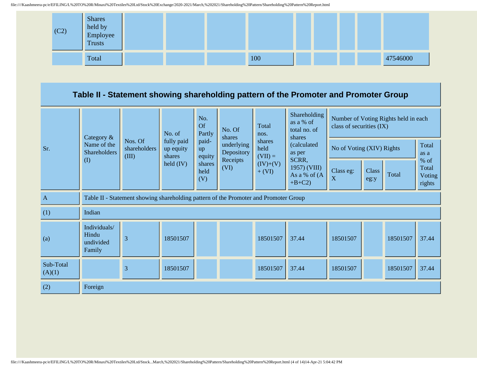

## **Table II - Statement showing shareholding pattern of the Promoter and Promoter Group**

|                     | Category &<br>Name of the                                                            |                                  | No.<br><b>Of</b><br>No. of        |                                                                                                           | Total<br>No. Of<br>Partly<br>nos.<br>shares |                        | Shareholding<br>as a % of<br>total no. of<br>shares | Number of Voting Rights held in each<br>class of securities (IX) |               |                           |                                   |               |
|---------------------|--------------------------------------------------------------------------------------|----------------------------------|-----------------------------------|-----------------------------------------------------------------------------------------------------------|---------------------------------------------|------------------------|-----------------------------------------------------|------------------------------------------------------------------|---------------|---------------------------|-----------------------------------|---------------|
| Sr.                 | <b>Shareholders</b>                                                                  | Nos. Of<br>shareholders<br>(III) | fully paid<br>up equity<br>shares | paid-<br>shares<br>underlying<br>(calculated<br>held<br>up<br>Depository<br>as per<br>$(VII) =$<br>equity |                                             |                        |                                                     | SCRR,<br>Receipts                                                |               | No of Voting (XIV) Rights |                                   | Total<br>as a |
|                     | $\rm (I)$                                                                            |                                  | held $(IV)$                       | shares<br>held<br>(V)                                                                                     | (VI)                                        | $(IV)+(V)$<br>$+ (VI)$ | 1957) (VIII)<br>As a % of (A<br>$+B+C2$             | Class eg:<br>$\boldsymbol{X}$                                    | Class<br>eg:y | Total                     | % of<br>Total<br>Voting<br>rights |               |
| $\mathbf{A}$        | Table II - Statement showing shareholding pattern of the Promoter and Promoter Group |                                  |                                   |                                                                                                           |                                             |                        |                                                     |                                                                  |               |                           |                                   |               |
| (1)                 | Indian                                                                               |                                  |                                   |                                                                                                           |                                             |                        |                                                     |                                                                  |               |                           |                                   |               |
| (a)                 | Individuals/<br>Hindu<br>undivided<br>Family                                         | 3                                | 18501507                          |                                                                                                           |                                             | 18501507               | 37.44                                               | 18501507                                                         |               | 18501507                  | 37.44                             |               |
| Sub-Total<br>(A)(1) |                                                                                      | 3                                | 18501507                          |                                                                                                           |                                             | 18501507               | 37.44                                               | 18501507                                                         |               | 18501507                  | 37.44                             |               |
| (2)                 | Foreign                                                                              |                                  |                                   |                                                                                                           |                                             |                        |                                                     |                                                                  |               |                           |                                   |               |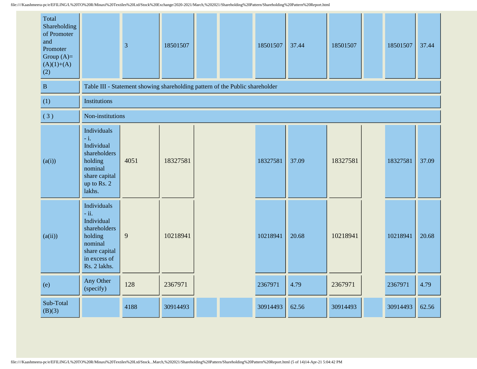| Total<br>Shareholding<br>of Promoter<br>and<br>Promoter<br>Group $(A)=$<br>$(A)(1)+(A)$<br>(2) |                                                                                                                            | $\overline{3}$                                                               | 18501507 |  | 18501507 | 37.44 | 18501507 | 18501507 | 37.44 |
|------------------------------------------------------------------------------------------------|----------------------------------------------------------------------------------------------------------------------------|------------------------------------------------------------------------------|----------|--|----------|-------|----------|----------|-------|
| $\, {\bf B}$                                                                                   |                                                                                                                            | Table III - Statement showing shareholding pattern of the Public shareholder |          |  |          |       |          |          |       |
| (1)                                                                                            | <b>Institutions</b>                                                                                                        |                                                                              |          |  |          |       |          |          |       |
| (3)                                                                                            | Non-institutions                                                                                                           |                                                                              |          |  |          |       |          |          |       |
| (a(i))                                                                                         | Individuals<br>$-i.$<br>Individual<br>shareholders<br>holding<br>nominal<br>share capital<br>up to Rs. 2<br>lakhs.         | 4051                                                                         | 18327581 |  | 18327581 | 37.09 | 18327581 | 18327581 | 37.09 |
| (a(ii))                                                                                        | Individuals<br>$-ii.$<br>Individual<br>shareholders<br>holding<br>nominal<br>share capital<br>in excess of<br>Rs. 2 lakhs. | 9                                                                            | 10218941 |  | 10218941 | 20.68 | 10218941 | 10218941 | 20.68 |
| (e)                                                                                            | Any Other<br>(specify)                                                                                                     | 128                                                                          | 2367971  |  | 2367971  | 4.79  | 2367971  | 2367971  | 4.79  |
| Sub-Total<br>(B)(3)                                                                            |                                                                                                                            | 4188                                                                         | 30914493 |  | 30914493 | 62.56 | 30914493 | 30914493 | 62.56 |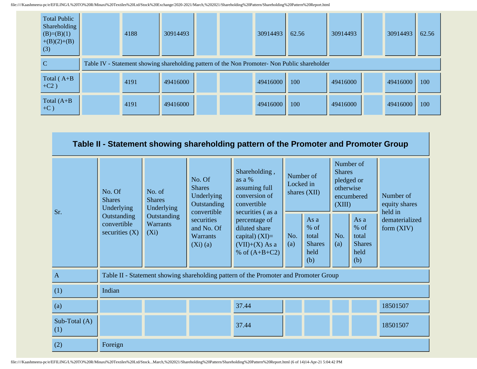| <b>Total Public</b><br>Shareholding<br>$(B)=(B)(1)$<br>$+(B)(2)+(B)$<br>(3) | 4188 | 30914493 |  | 30914493 | 62.56                                                                                         | 30914493 | 30914493 | 62.56 |
|-----------------------------------------------------------------------------|------|----------|--|----------|-----------------------------------------------------------------------------------------------|----------|----------|-------|
|                                                                             |      |          |  |          | Table IV - Statement showing shareholding pattern of the Non Promoter- Non Public shareholder |          |          |       |
| Total $(A+B)$<br>$+C2)$                                                     | 4191 | 49416000 |  | 49416000 | 100                                                                                           | 49416000 | 49416000 | 100   |
| Total $(A+B)$<br>$+C$ )                                                     | 4191 | 49416000 |  | 49416000 | 100                                                                                           | 49416000 | 49416000 | 100   |

|                        | Table II - Statement showing shareholding pattern of the Promoter and Promoter Group |                                           |                                                                     |                                                                                              |            |                                                         |                                                                               |                                                         |                                       |  |
|------------------------|--------------------------------------------------------------------------------------|-------------------------------------------|---------------------------------------------------------------------|----------------------------------------------------------------------------------------------|------------|---------------------------------------------------------|-------------------------------------------------------------------------------|---------------------------------------------------------|---------------------------------------|--|
| Sr.                    | No. Of<br><b>Shares</b><br>Underlying                                                | No. of<br><b>Shares</b><br>Underlying     | No. Of<br><b>Shares</b><br>Underlying<br>Outstanding<br>convertible | Shareholding,<br>as a %<br>assuming full<br>conversion of<br>convertible<br>securities (as a | Locked in  | Number of<br>shares $(XII)$                             | Number of<br><b>Shares</b><br>pledged or<br>otherwise<br>encumbered<br>(XIII) |                                                         | Number of<br>equity shares<br>held in |  |
|                        | Outstanding<br>convertible<br>securities $(X)$                                       | Outstanding<br><b>Warrants</b><br>$(X_i)$ |                                                                     | percentage of<br>diluted share<br>capital) $(XI)=$<br>$(VII)+(X)$ As a<br>% of $(A+B+C2)$    | No.<br>(a) | As a<br>$%$ of<br>total<br><b>Shares</b><br>held<br>(b) | No.<br>(a)                                                                    | As a<br>$%$ of<br>total<br><b>Shares</b><br>held<br>(b) | dematerialized<br>form $(XIV)$        |  |
| $\mathbf{A}$           |                                                                                      |                                           |                                                                     | Table II - Statement showing shareholding pattern of the Promoter and Promoter Group         |            |                                                         |                                                                               |                                                         |                                       |  |
| (1)                    | Indian                                                                               |                                           |                                                                     |                                                                                              |            |                                                         |                                                                               |                                                         |                                       |  |
| (a)                    |                                                                                      |                                           |                                                                     | 37.44                                                                                        |            |                                                         |                                                                               |                                                         | 18501507                              |  |
| Sub-Total $(A)$<br>(1) |                                                                                      |                                           |                                                                     | 37.44                                                                                        |            |                                                         |                                                                               |                                                         | 18501507                              |  |
| (2)                    | Foreign                                                                              |                                           |                                                                     |                                                                                              |            |                                                         |                                                                               |                                                         |                                       |  |

file:////Kaashmeera-pc/e/EFILING/L%20TO%20R/Minaxi%20Textiles%20Ltd/Stock...March,%202021/Shareholding%20Pattern/Shareholding%20Pattern%20Report.html (6 of 14)14-Apr-21 5:04:42 PM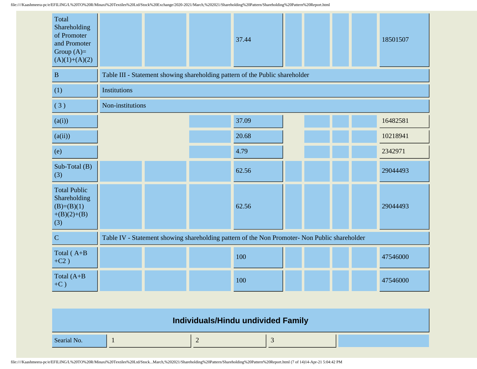| Total<br>Shareholding<br>of Promoter<br>and Promoter<br>Group $(A)=$<br>$(A)(1)+(A)(2)$ |                  |  | 37.44                                                                                         |  |  | 18501507 |
|-----------------------------------------------------------------------------------------|------------------|--|-----------------------------------------------------------------------------------------------|--|--|----------|
| $\mathbf B$                                                                             |                  |  | Table III - Statement showing shareholding pattern of the Public shareholder                  |  |  |          |
| (1)                                                                                     | Institutions     |  |                                                                                               |  |  |          |
| (3)                                                                                     | Non-institutions |  |                                                                                               |  |  |          |
| (a(i))                                                                                  |                  |  | 37.09                                                                                         |  |  | 16482581 |
| (a(ii))                                                                                 |                  |  | 20.68                                                                                         |  |  | 10218941 |
| (e)                                                                                     |                  |  | 4.79                                                                                          |  |  | 2342971  |
| Sub-Total (B)<br>(3)                                                                    |                  |  | 62.56                                                                                         |  |  | 29044493 |
| <b>Total Public</b><br>Shareholding<br>$(B)=(B)(1)$<br>$+(B)(2)+(B)$<br>(3)             |                  |  | 62.56                                                                                         |  |  | 29044493 |
| $\overline{C}$                                                                          |                  |  | Table IV - Statement showing shareholding pattern of the Non Promoter- Non Public shareholder |  |  |          |
| Total (A+B<br>$+C2$ )                                                                   |                  |  | 100                                                                                           |  |  | 47546000 |
| Total $(A+B)$<br>$+C$ )                                                                 |                  |  | 100                                                                                           |  |  | 47546000 |

|             | Individuals/Hindu undivided Family |  |
|-------------|------------------------------------|--|
| Searial No. |                                    |  |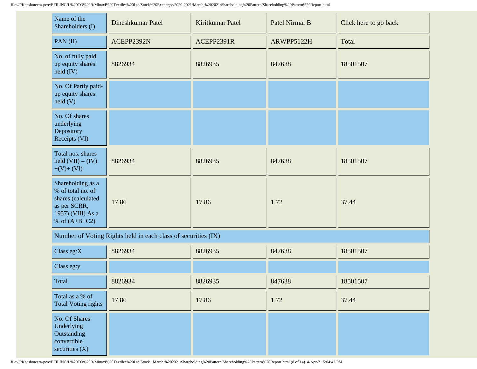| Name of the<br>Shareholders (I)                                                                                      | Dineshkumar Patel | Kiritkumar Patel | Patel Nirmal B | Click here to go back |
|----------------------------------------------------------------------------------------------------------------------|-------------------|------------------|----------------|-----------------------|
| PAN $(II)$                                                                                                           | ACEPP2392N        | ACEPP2391R       | ARWPP5122H     | Total                 |
| No. of fully paid<br>up equity shares<br>$\text{held (IV)}$                                                          | 8826934           | 8826935          | 847638         | 18501507              |
| No. Of Partly paid-<br>up equity shares<br>$\text{held}(V)$                                                          |                   |                  |                |                       |
| No. Of shares<br>underlying<br>Depository<br>Receipts (VI)                                                           |                   |                  |                |                       |
| Total nos. shares<br>held $(VII) = (IV)$<br>$+(V)+(VI)$                                                              | 8826934           | 8826935          | 847638         | 18501507              |
| Shareholding as a<br>% of total no. of<br>shares (calculated<br>as per SCRR,<br>1957) (VIII) As a<br>% of $(A+B+C2)$ | 17.86             | 17.86            | 1.72           | 37.44                 |

Number of Voting Rights held in each class of securities (IX)

| Class eg: $X$                                                                 | 8826934 | 8826935 | 847638 | 18501507 |
|-------------------------------------------------------------------------------|---------|---------|--------|----------|
| Class eg:y                                                                    |         |         |        |          |
| Total                                                                         | 8826934 | 8826935 | 847638 | 18501507 |
| Total as a % of<br><b>Total Voting rights</b>                                 | 17.86   | 17.86   | 1.72   | 37.44    |
| No. Of Shares<br>Underlying<br>Outstanding<br>convertible<br>securities $(X)$ |         |         |        |          |

file:////Kaashmeera-pc/e/EFILING/L%20TO%20R/Minaxi%20Textiles%20Ltd/Stock...March,%202021/Shareholding%20Pattern/Shareholding%20Pattern%20Report.html (8 of 14)14-Apr-21 5:04:42 PM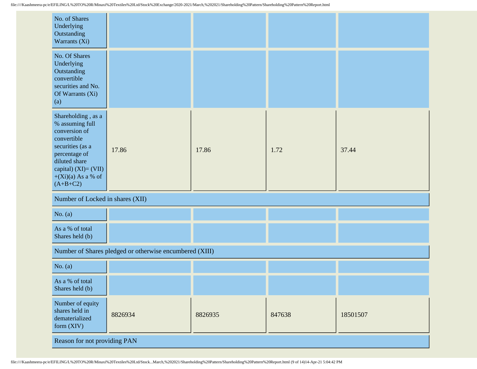| No. of Shares<br>Underlying<br>Outstanding<br>Warrants (Xi)                                                                                                                                  |                                                         |         |        |          |  |  |  |
|----------------------------------------------------------------------------------------------------------------------------------------------------------------------------------------------|---------------------------------------------------------|---------|--------|----------|--|--|--|
| No. Of Shares<br>Underlying<br>Outstanding<br>convertible<br>securities and No.<br>Of Warrants (Xi)<br>(a)                                                                                   |                                                         |         |        |          |  |  |  |
| Shareholding, as a<br>% assuming full<br>conversion of<br>convertible<br>securities (as a<br>percentage of<br>diluted share<br>capital) $(XI) = (VII)$<br>$+(Xi)(a)$ As a % of<br>$(A+B+C2)$ | 17.86                                                   | 17.86   | 1.72   | 37.44    |  |  |  |
| Number of Locked in shares (XII)                                                                                                                                                             |                                                         |         |        |          |  |  |  |
| No. $(a)$                                                                                                                                                                                    |                                                         |         |        |          |  |  |  |
| As a % of total<br>Shares held (b)                                                                                                                                                           |                                                         |         |        |          |  |  |  |
|                                                                                                                                                                                              | Number of Shares pledged or otherwise encumbered (XIII) |         |        |          |  |  |  |
| No. $(a)$                                                                                                                                                                                    |                                                         |         |        |          |  |  |  |
| As a % of total<br>Shares held (b)                                                                                                                                                           |                                                         |         |        |          |  |  |  |
| Number of equity<br>shares held in<br>dematerialized<br>form (XIV)                                                                                                                           | 8826934                                                 | 8826935 | 847638 | 18501507 |  |  |  |
|                                                                                                                                                                                              | Reason for not providing PAN                            |         |        |          |  |  |  |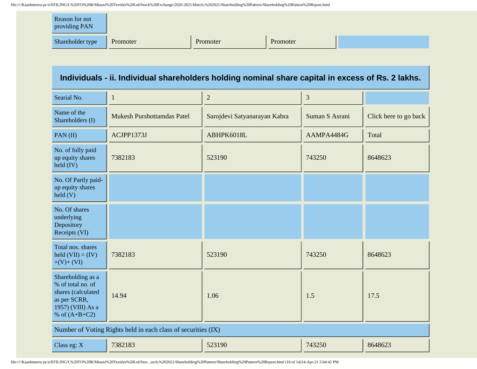| Reason for not<br>providing PAN |          |          |          |  |
|---------------------------------|----------|----------|----------|--|
| Shareholder type                | Promoter | Promoter | Promoter |  |

## **Individuals - ii. Individual shareholders holding nominal share capital in excess of Rs. 2 lakhs.**

| Searial No.                                                                                                          | 1                                                             | $\overline{2}$               | 3              |                       |
|----------------------------------------------------------------------------------------------------------------------|---------------------------------------------------------------|------------------------------|----------------|-----------------------|
| Name of the<br>Shareholders (I)                                                                                      | <b>Mukesh Purshottamdas Patel</b>                             | Sarojdevi Satyanarayan Kabra | Suman S Asrani | Click here to go back |
| PAN(II)                                                                                                              | ACJPP1373J                                                    | ABHPK6018L                   | AAMPA4484G     | Total                 |
| No. of fully paid<br>up equity shares<br>$\text{held (IV)}$                                                          | 7382183                                                       | 523190                       | 743250         | 8648623               |
| No. Of Partly paid-<br>up equity shares<br>$\text{held}(V)$                                                          |                                                               |                              |                |                       |
| No. Of shares<br>underlying<br>Depository<br>Receipts (VI)                                                           |                                                               |                              |                |                       |
| Total nos. shares<br>held $(VII) = (IV)$<br>$+(V)+(VI)$                                                              | 7382183                                                       | 523190                       | 743250         | 8648623               |
| Shareholding as a<br>% of total no. of<br>shares (calculated<br>as per SCRR,<br>1957) (VIII) As a<br>% of $(A+B+C2)$ | 14.94                                                         | 1.06                         | 1.5            | 17.5                  |
|                                                                                                                      | Number of Voting Rights held in each class of securities (IX) |                              |                |                       |
| Class eg: X                                                                                                          | 7382183                                                       | 523190                       | 743250         | 8648623               |

file:////Kaashmeera-pc/e/EFILING/L%20TO%20R/Minaxi%20Textiles%20Ltd/Stoc...arch,%202021/Shareholding%20Pattern/Shareholding%20Pattern%20Report.html (10 of 14)14-Apr-21 5:04:42 PM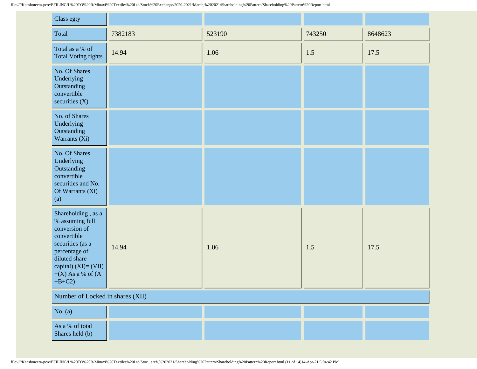| Class eg:y                                                                                                                                                                                    |         |        |        |         |
|-----------------------------------------------------------------------------------------------------------------------------------------------------------------------------------------------|---------|--------|--------|---------|
| Total                                                                                                                                                                                         | 7382183 | 523190 | 743250 | 8648623 |
| Total as a % of<br><b>Total Voting rights</b>                                                                                                                                                 | 14.94   | 1.06   | 1.5    | 17.5    |
| No. Of Shares<br>Underlying<br>Outstanding<br>convertible<br>securities $(X)$                                                                                                                 |         |        |        |         |
| No. of Shares<br>Underlying<br>Outstanding<br>Warrants (Xi)                                                                                                                                   |         |        |        |         |
| No. Of Shares<br>Underlying<br>Outstanding<br>convertible<br>securities and No.<br>Of Warrants (Xi)<br>(a)                                                                                    |         |        |        |         |
| Shareholding, as a<br>% assuming full<br>conversion of<br>convertible<br>securities (as a<br>percentage of<br>diluted share<br>capital) $(XI) = (VII)$<br>$+(X)$ As a % of $(A)$<br>$+B+C2$ ) | 14.94   | 1.06   | 1.5    | 17.5    |
| Number of Locked in shares (XII)                                                                                                                                                              |         |        |        |         |
| No. $(a)$                                                                                                                                                                                     |         |        |        |         |
| As a % of total<br>Shares held (b)                                                                                                                                                            |         |        |        |         |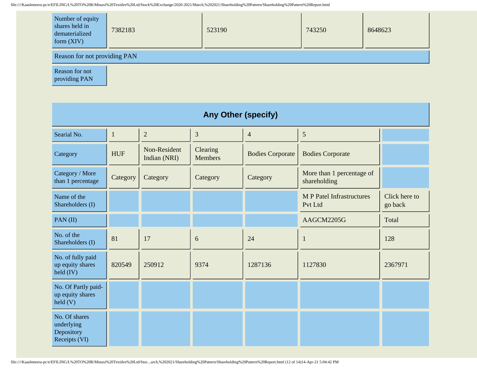| Number of equity<br>shares held in<br>dematerialized<br>form $(XIV)$ | 7382183 | 523190 | 743250 | 8648623 |  |  |
|----------------------------------------------------------------------|---------|--------|--------|---------|--|--|
| Reason for not providing PAN                                         |         |        |        |         |  |  |

Reason for not providing PAN

| <b>Any Other (specify)</b>                                  |              |                              |                            |                         |                                             |                          |  |
|-------------------------------------------------------------|--------------|------------------------------|----------------------------|-------------------------|---------------------------------------------|--------------------------|--|
| Searial No.                                                 | $\mathbf{1}$ | $\overline{2}$               | 3                          | $\overline{4}$          | 5                                           |                          |  |
| Category                                                    | <b>HUF</b>   | Non-Resident<br>Indian (NRI) | Clearing<br><b>Members</b> | <b>Bodies Corporate</b> | <b>Bodies Corporate</b>                     |                          |  |
| Category / More<br>than 1 percentage                        | Category     | Category                     | Category                   | Category                | More than 1 percentage of<br>shareholding   |                          |  |
| Name of the<br>Shareholders (I)                             |              |                              |                            |                         | <b>M P Patel Infrastructures</b><br>Pvt Ltd | Click here to<br>go back |  |
| PAN(II)                                                     |              |                              |                            |                         | AAGCM2205G                                  | Total                    |  |
| No. of the<br>Shareholders (I)                              | 81           | 17                           | 6                          | 24                      | 1                                           | 128                      |  |
| No. of fully paid<br>up equity shares<br>$\text{held (IV)}$ | 820549       | 250912                       | 9374                       | 1287136                 | 1127830                                     | 2367971                  |  |
| No. Of Partly paid-<br>up equity shares<br>held (V)         |              |                              |                            |                         |                                             |                          |  |
| No. Of shares<br>underlying<br>Depository<br>Receipts (VI)  |              |                              |                            |                         |                                             |                          |  |

file:////Kaashmeera-pc/e/EFILING/L%20TO%20R/Minaxi%20Textiles%20Ltd/Stoc...arch,%202021/Shareholding%20Pattern/Shareholding%20Pattern%20Report.html (12 of 14)14-Apr-21 5:04:42 PM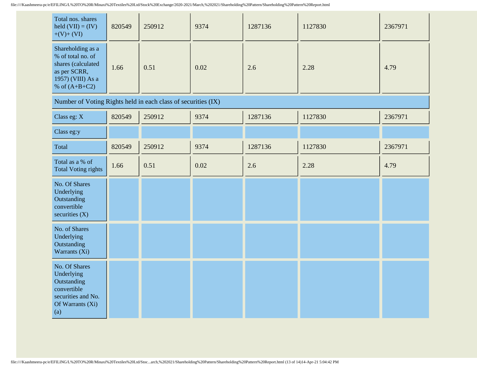| Total nos. shares<br>held $(VII) = (IV)$<br>$+(V)+(VI)$                                                              | 820549 | 250912 | 9374 | 1287136 | 1127830 | 2367971 |
|----------------------------------------------------------------------------------------------------------------------|--------|--------|------|---------|---------|---------|
| Shareholding as a<br>% of total no. of<br>shares (calculated<br>as per SCRR,<br>1957) (VIII) As a<br>% of $(A+B+C2)$ | 1.66   | 0.51   | 0.02 | 2.6     | 2.28    | 4.79    |
| Number of Voting Rights held in each class of securities (IX)                                                        |        |        |      |         |         |         |
| Class eg: $X$                                                                                                        | 820549 | 250912 | 9374 | 1287136 | 1127830 | 2367971 |
| Class eg:y                                                                                                           |        |        |      |         |         |         |

| Total                                                                                                      | 820549 | 250912 | 9374 | 1287136 | 1127830 | 2367971 |
|------------------------------------------------------------------------------------------------------------|--------|--------|------|---------|---------|---------|
| Total as a % of<br><b>Total Voting rights</b>                                                              | 1.66   | 0.51   | 0.02 | 2.6     | 2.28    | 4.79    |
| No. Of Shares<br>Underlying<br>Outstanding<br>convertible<br>securities $(X)$                              |        |        |      |         |         |         |
| No. of Shares<br>Underlying<br>Outstanding<br>Warrants (Xi)                                                |        |        |      |         |         |         |
| No. Of Shares<br>Underlying<br>Outstanding<br>convertible<br>securities and No.<br>Of Warrants (Xi)<br>(a) |        |        |      |         |         |         |